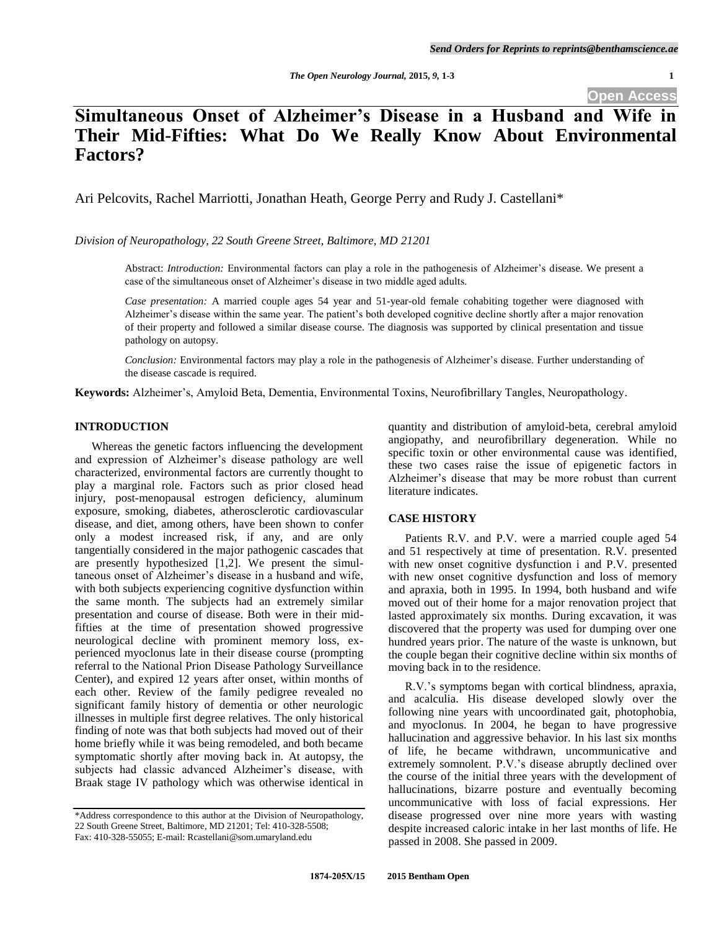**Open Access**

# **Simultaneous Onset of Alzheimer's Disease in a Husband and Wife in Their Mid-Fifties: What Do We Really Know About Environmental Factors?**

Ari Pelcovits, Rachel Marriotti, Jonathan Heath, George Perry and Rudy J. Castellani\*

*Division of Neuropathology, 22 South Greene Street, Baltimore, MD 21201*

Abstract: *Introduction:* Environmental factors can play a role in the pathogenesis of Alzheimer's disease. We present a case of the simultaneous onset of Alzheimer's disease in two middle aged adults.

*Case presentation:* A married couple ages 54 year and 51-year-old female cohabiting together were diagnosed with Alzheimer's disease within the same year. The patient's both developed cognitive decline shortly after a major renovation of their property and followed a similar disease course. The diagnosis was supported by clinical presentation and tissue pathology on autopsy.

*Conclusion:* Environmental factors may play a role in the pathogenesis of Alzheimer's disease. Further understanding of the disease cascade is required.

**Keywords:** Alzheimer's, Amyloid Beta, Dementia, Environmental Toxins, Neurofibrillary Tangles, Neuropathology.

## **INTRODUCTION**

 Whereas the genetic factors influencing the development and expression of Alzheimer's disease pathology are well characterized, environmental factors are currently thought to play a marginal role. Factors such as prior closed head injury, post-menopausal estrogen deficiency, aluminum exposure, smoking, diabetes, atherosclerotic cardiovascular disease, and diet, among others, have been shown to confer only a modest increased risk, if any, and are only tangentially considered in the major pathogenic cascades that are presently hypothesized  $[1,2]$ . We present the simultaneous onset of Alzheimer's disease in a husband and wife, with both subjects experiencing cognitive dysfunction within the same month. The subjects had an extremely similar presentation and course of disease. Both were in their midfifties at the time of presentation showed progressive neurological decline with prominent memory loss, experienced myoclonus late in their disease course (prompting referral to the National Prion Disease Pathology Surveillance Center), and expired 12 years after onset, within months of each other. Review of the family pedigree revealed no significant family history of dementia or other neurologic illnesses in multiple first degree relatives. The only historical finding of note was that both subjects had moved out of their home briefly while it was being remodeled, and both became symptomatic shortly after moving back in. At autopsy, the subjects had classic advanced Alzheimer's disease, with Braak stage IV pathology which was otherwise identical in

quantity and distribution of amyloid-beta, cerebral amyloid angiopathy, and neurofibrillary degeneration. While no specific toxin or other environmental cause was identified, these two cases raise the issue of epigenetic factors in Alzheimer's disease that may be more robust than current literature indicates.

# **CASE HISTORY**

 Patients R.V. and P.V. were a married couple aged 54 and 51 respectively at time of presentation. R.V. presented with new onset cognitive dysfunction i and P.V. presented with new onset cognitive dysfunction and loss of memory and apraxia, both in 1995. In 1994, both husband and wife moved out of their home for a major renovation project that lasted approximately six months. During excavation, it was discovered that the property was used for dumping over one hundred years prior. The nature of the waste is unknown, but the couple began their cognitive decline within six months of moving back in to the residence.

R.V.'s symptoms began with cortical blindness, apraxia, and acalculia. His disease developed slowly over the following nine years with uncoordinated gait, photophobia, and myoclonus. In 2004, he began to have progressive hallucination and aggressive behavior. In his last six months of life, he became withdrawn, uncommunicative and extremely somnolent. P.V.'s disease abruptly declined over the course of the initial three years with the development of hallucinations, bizarre posture and eventually becoming uncommunicative with loss of facial expressions. Her disease progressed over nine more years with wasting despite increased caloric intake in her last months of life. He passed in 2008. She passed in 2009.

<sup>\*</sup>Address correspondence to this author at the Division of Neuropathology, 22 South Greene Street, Baltimore, MD 21201; Tel: 410-328-5508; Fax: 410-328-55055; E-mail: Rcastellani@som.umaryland.edu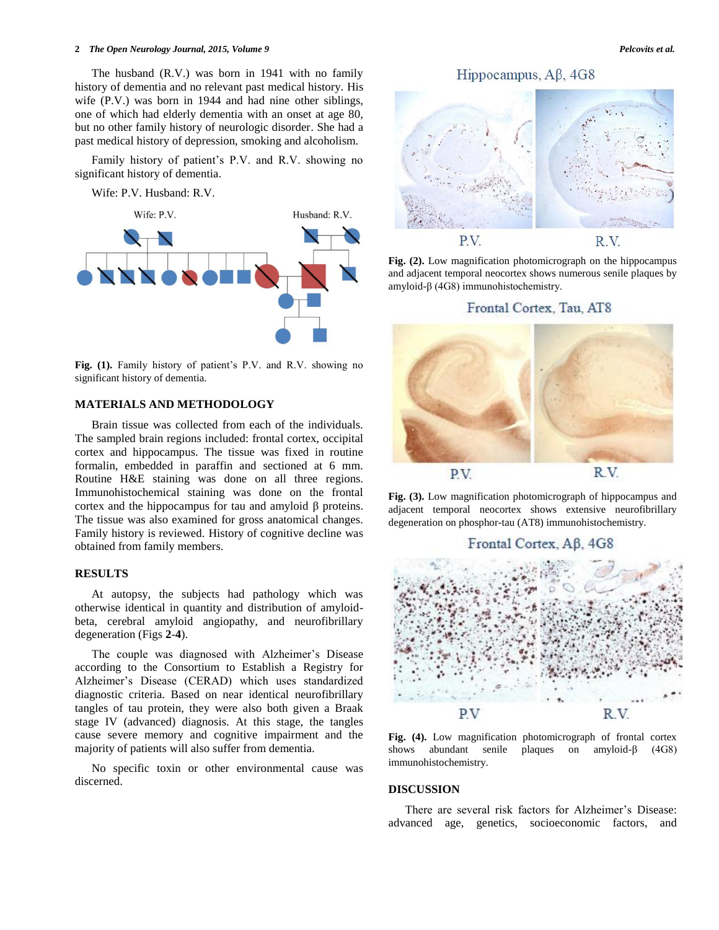#### **2** *The Open Neurology Journal, 2015, Volume 9 Pelcovits et al.*

The husband (R.V.) was born in 1941 with no family history of dementia and no relevant past medical history. His wife (P.V.) was born in 1944 and had nine other siblings, one of which had elderly dementia with an onset at age 80, but no other family history of neurologic disorder. She had a past medical history of depression, smoking and alcoholism.

Family history of patient's P.V. and R.V. showing no significant history of dementia.

Wife: P.V. Husband: R.V.



**Fig. (1).** Family history of patient's P.V. and R.V. showing no significant history of dementia.

#### **MATERIALS AND METHODOLOGY**

Brain tissue was collected from each of the individuals. The sampled brain regions included: frontal cortex, occipital cortex and hippocampus. The tissue was fixed in routine formalin, embedded in paraffin and sectioned at 6 mm. Routine H&E staining was done on all three regions. Immunohistochemical staining was done on the frontal cortex and the hippocampus for tau and amyloid β proteins. The tissue was also examined for gross anatomical changes. Family history is reviewed. History of cognitive decline was obtained from family members.

### **RESULTS**

At autopsy, the subjects had pathology which was otherwise identical in quantity and distribution of amyloidbeta, cerebral amyloid angiopathy, and neurofibrillary degeneration (Figs **2**-**4**).

The couple was diagnosed with Alzheimer's Disease according to the Consortium to Establish a Registry for Alzheimer's Disease (CERAD) which uses standardized diagnostic criteria. Based on near identical neurofibrillary tangles of tau protein, they were also both given a Braak stage IV (advanced) diagnosis. At this stage, the tangles cause severe memory and cognitive impairment and the majority of patients will also suffer from dementia.

No specific toxin or other environmental cause was discerned.

Hippocampus,  $A\beta$ , 4G8



**Fig. (2).** Low magnification photomicrograph on the hippocampus and adjacent temporal neocortex shows numerous senile plaques by amyloid-β (4G8) immunohistochemistry.

### Frontal Cortex, Tau, AT8



**Fig. (3).** Low magnification photomicrograph of hippocampus and adjacent temporal neocortex shows extensive neurofibrillary degeneration on phosphor-tau (AT8) immunohistochemistry.



**Fig. (4).** Low magnification photomicrograph of frontal cortex shows abundant senile plaques on amyloid-β (4G8) immunohistochemistry.

#### **DISCUSSION**

There are several risk factors for Alzheimer's Disease: advanced age, genetics, socioeconomic factors, and